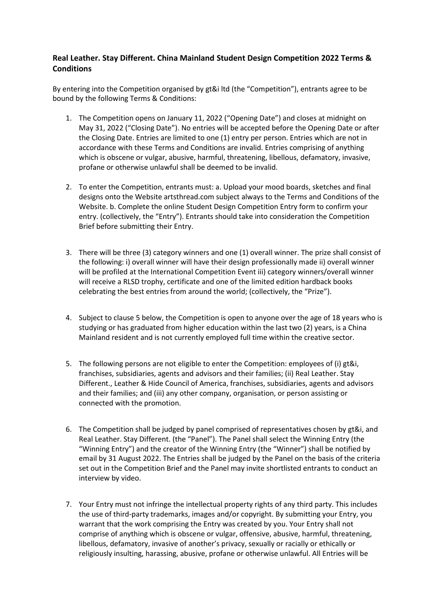## **Real Leather. Stay Different. China Mainland Student Design Competition 2022 Terms & Conditions**

By entering into the Competition organised by gt&i ltd (the "Competition"), entrants agree to be bound by the following Terms & Conditions:

- 1. The Competition opens on January 11, 2022 ("Opening Date") and closes at midnight on May 31, 2022 ("Closing Date"). No entries will be accepted before the Opening Date or after the Closing Date. Entries are limited to one (1) entry per person. Entries which are not in accordance with these Terms and Conditions are invalid. Entries comprising of anything which is obscene or vulgar, abusive, harmful, threatening, libellous, defamatory, invasive, profane or otherwise unlawful shall be deemed to be invalid.
- 2. To enter the Competition, entrants must: a. Upload your mood boards, sketches and final designs onto the Website artsthread.com subject always to the Terms and Conditions of the Website. b. Complete the online Student Design Competition Entry form to confirm your entry. (collectively, the "Entry"). Entrants should take into consideration the Competition Brief before submitting their Entry.
- 3. There will be three (3) category winners and one (1) overall winner. The prize shall consist of the following: i) overall winner will have their design professionally made ii) overall winner will be profiled at the International Competition Event iii) category winners/overall winner will receive a RLSD trophy, certificate and one of the limited edition hardback books celebrating the best entries from around the world; (collectively, the "Prize").
- 4. Subject to clause 5 below, the Competition is open to anyone over the age of 18 years who is studying or has graduated from higher education within the last two (2) years, is a China Mainland resident and is not currently employed full time within the creative sector.
- 5. The following persons are not eligible to enter the Competition: employees of (i) gt&i, franchises, subsidiaries, agents and advisors and their families; (ii) Real Leather. Stay Different., Leather & Hide Council of America, franchises, subsidiaries, agents and advisors and their families; and (iii) any other company, organisation, or person assisting or connected with the promotion.
- 6. The Competition shall be judged by panel comprised of representatives chosen by gt&i, and Real Leather. Stay Different. (the "Panel"). The Panel shall select the Winning Entry (the "Winning Entry") and the creator of the Winning Entry (the "Winner") shall be notified by email by 31 August 2022. The Entries shall be judged by the Panel on the basis of the criteria set out in the Competition Brief and the Panel may invite shortlisted entrants to conduct an interview by video.
- 7. Your Entry must not infringe the intellectual property rights of any third party. This includes the use of third-party trademarks, images and/or copyright. By submitting your Entry, you warrant that the work comprising the Entry was created by you. Your Entry shall not comprise of anything which is obscene or vulgar, offensive, abusive, harmful, threatening, libellous, defamatory, invasive of another's privacy, sexually or racially or ethically or religiously insulting, harassing, abusive, profane or otherwise unlawful. All Entries will be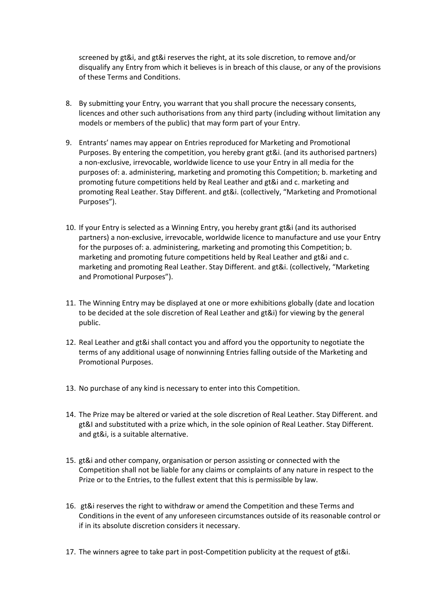screened by gt&i, and gt&i reserves the right, at its sole discretion, to remove and/or disqualify any Entry from which it believes is in breach of this clause, or any of the provisions of these Terms and Conditions.

- 8. By submitting your Entry, you warrant that you shall procure the necessary consents, licences and other such authorisations from any third party (including without limitation any models or members of the public) that may form part of your Entry.
- 9. Entrants' names may appear on Entries reproduced for Marketing and Promotional Purposes. By entering the competition, you hereby grant gt&i. (and its authorised partners) a non-exclusive, irrevocable, worldwide licence to use your Entry in all media for the purposes of: a. administering, marketing and promoting this Competition; b. marketing and promoting future competitions held by Real Leather and gt&i and c. marketing and promoting Real Leather. Stay Different. and gt&i. (collectively, "Marketing and Promotional Purposes").
- 10. If your Entry is selected as a Winning Entry, you hereby grant gt&i (and its authorised partners) a non-exclusive, irrevocable, worldwide licence to manufacture and use your Entry for the purposes of: a. administering, marketing and promoting this Competition; b. marketing and promoting future competitions held by Real Leather and gt&i and c. marketing and promoting Real Leather. Stay Different. and gt&i. (collectively, "Marketing and Promotional Purposes").
- 11. The Winning Entry may be displayed at one or more exhibitions globally (date and location to be decided at the sole discretion of Real Leather and gt&i) for viewing by the general public.
- 12. Real Leather and gt&i shall contact you and afford you the opportunity to negotiate the terms of any additional usage of nonwinning Entries falling outside of the Marketing and Promotional Purposes.
- 13. No purchase of any kind is necessary to enter into this Competition.
- 14. The Prize may be altered or varied at the sole discretion of Real Leather. Stay Different. and gt&I and substituted with a prize which, in the sole opinion of Real Leather. Stay Different. and gt&i, is a suitable alternative.
- 15. gt&i and other company, organisation or person assisting or connected with the Competition shall not be liable for any claims or complaints of any nature in respect to the Prize or to the Entries, to the fullest extent that this is permissible by law.
- 16. gt&i reserves the right to withdraw or amend the Competition and these Terms and Conditions in the event of any unforeseen circumstances outside of its reasonable control or if in its absolute discretion considers it necessary.
- 17. The winners agree to take part in post-Competition publicity at the request of gt&i.